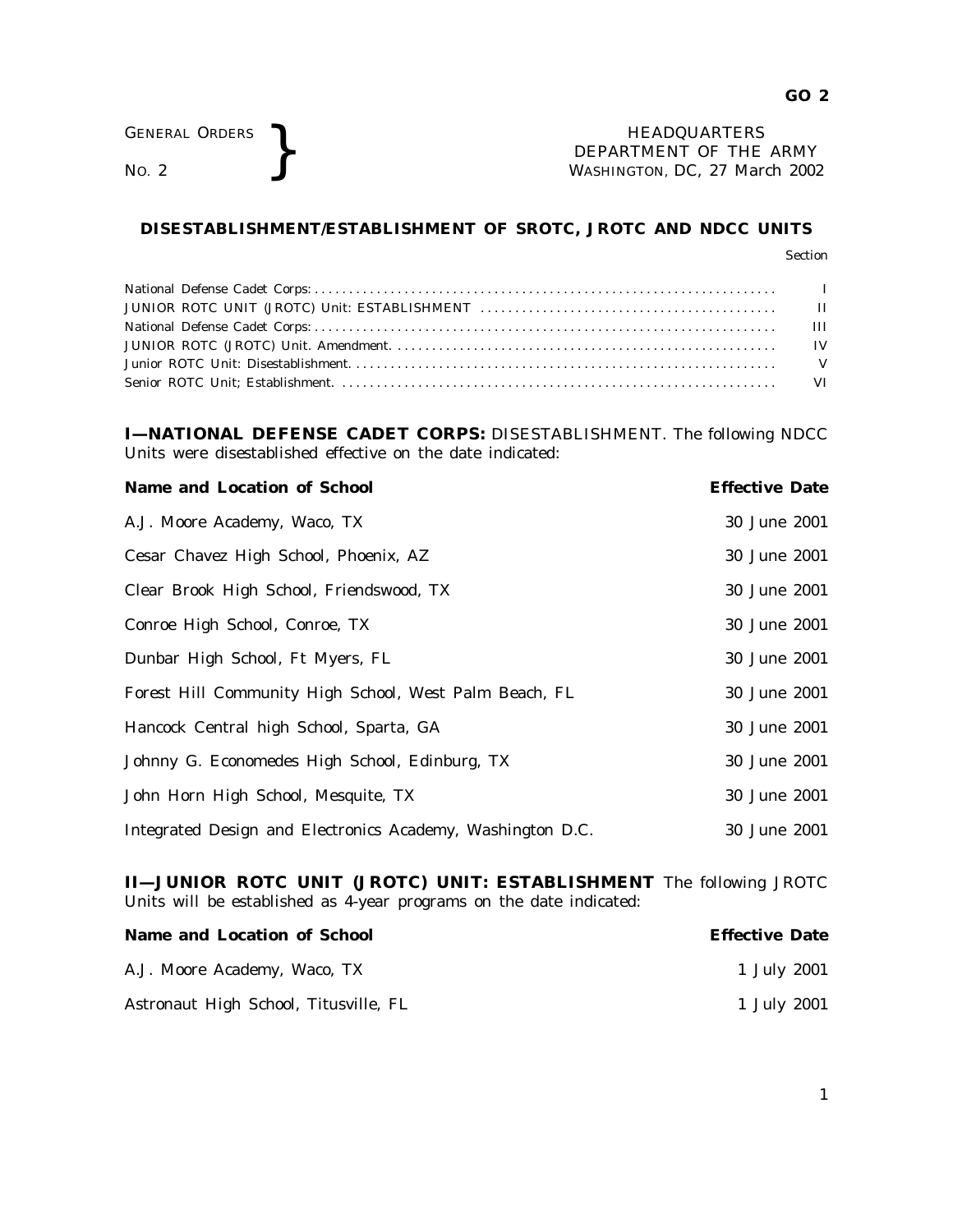GENERAL ORDERS **BEAUGE ARE SERVICE AS A SEXUAL PROPERTY OF THE MORE PROPERTY OF THE WASHINGTON, DC, 27 Mar** DEPARTMENT OF THE ARMY WASHINGTON, DC, *27 March 2002*

## **DISESTABLISHMENT/ESTABLISHMENT OF SROTC, JROTC AND NDCC UNITS**

**I—NATIONAL DEFENSE CADET CORPS:** DISESTABLISHMENT. The following NDCC Units were disestablished effective on the date indicated:

| Name and Location of School                                | <b>Effective Date</b> |
|------------------------------------------------------------|-----------------------|
| A.J. Moore Academy, Waco, TX                               | 30 June 2001          |
| Cesar Chavez High School, Phoenix, AZ                      | 30 June 2001          |
| Clear Brook High School, Friendswood, TX                   | 30 June 2001          |
| Conroe High School, Conroe, TX                             | 30 June 2001          |
| Dunbar High School, Ft Myers, FL                           | 30 June 2001          |
| Forest Hill Community High School, West Palm Beach, FL     | 30 June 2001          |
| Hancock Central high School, Sparta, GA                    | 30 June 2001          |
| Johnny G. Economedes High School, Edinburg, TX             | 30 June 2001          |
| John Horn High School, Mesquite, TX                        | 30 June 2001          |
| Integrated Design and Electronics Academy, Washington D.C. | 30 June 2001          |

**II—JUNIOR ROTC UNIT (JROTC) UNIT: ESTABLISHMENT** The following JROTC Units will be established as 4-year programs on the date indicated:

| <b>Name and Location of School</b>    | <b>Effective Date</b> |
|---------------------------------------|-----------------------|
| A.J. Moore Academy, Waco, TX          | 1 July 2001           |
| Astronaut High School, Titusville, FL | 1 July 2001           |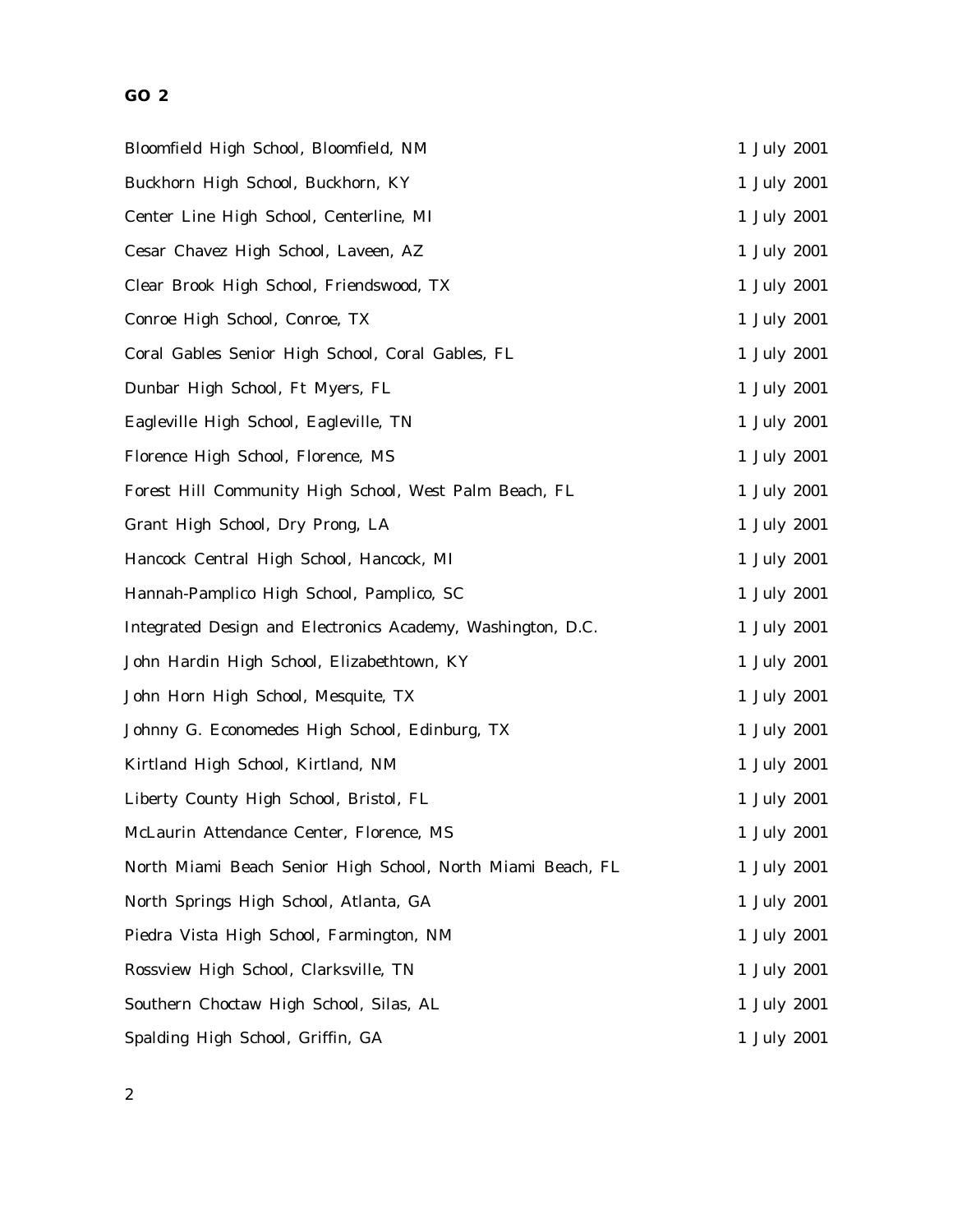# **GO 2**

| Bloomfield High School, Bloomfield, NM                      | 1 July 2001 |
|-------------------------------------------------------------|-------------|
| Buckhorn High School, Buckhorn, KY                          | 1 July 2001 |
| Center Line High School, Centerline, MI                     | 1 July 2001 |
| Cesar Chavez High School, Laveen, AZ                        | 1 July 2001 |
| Clear Brook High School, Friendswood, TX                    | 1 July 2001 |
| Conroe High School, Conroe, TX                              | 1 July 2001 |
| Coral Gables Senior High School, Coral Gables, FL           | 1 July 2001 |
| Dunbar High School, Ft Myers, FL                            | 1 July 2001 |
| Eagleville High School, Eagleville, TN                      | 1 July 2001 |
| Florence High School, Florence, MS                          | 1 July 2001 |
| Forest Hill Community High School, West Palm Beach, FL      | 1 July 2001 |
| Grant High School, Dry Prong, LA                            | 1 July 2001 |
| Hancock Central High School, Hancock, MI                    | 1 July 2001 |
| Hannah-Pamplico High School, Pamplico, SC                   | 1 July 2001 |
| Integrated Design and Electronics Academy, Washington, D.C. | 1 July 2001 |
| John Hardin High School, Elizabethtown, KY                  | 1 July 2001 |
| John Horn High School, Mesquite, TX                         | 1 July 2001 |
| Johnny G. Economedes High School, Edinburg, TX              | 1 July 2001 |
| Kirtland High School, Kirtland, NM                          | 1 July 2001 |
| Liberty County High School, Bristol, FL                     | 1 July 2001 |
| McLaurin Attendance Center, Florence, MS                    | 1 July 2001 |
| North Miami Beach Senior High School, North Miami Beach, FL | 1 July 2001 |
| North Springs High School, Atlanta, GA                      | 1 July 2001 |
| Piedra Vista High School, Farmington, NM                    | 1 July 2001 |
| Rossview High School, Clarksville, TN                       | 1 July 2001 |
| Southern Choctaw High School, Silas, AL                     | 1 July 2001 |
| Spalding High School, Griffin, GA                           | 1 July 2001 |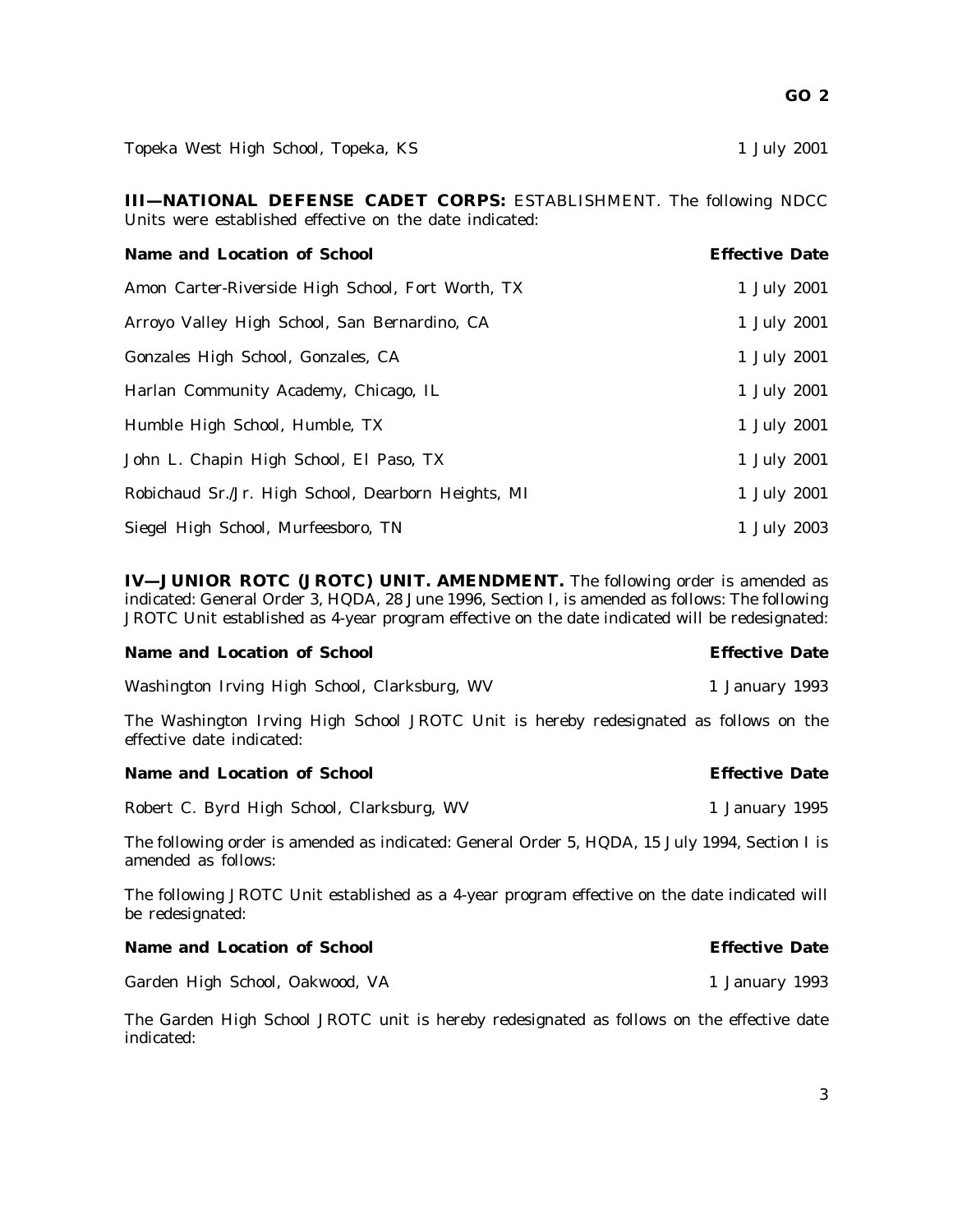**GO 2**

Topeka West High School, Topeka, KS 1 July 2001

**III—NATIONAL DEFENSE CADET CORPS:** ESTABLISHMENT. The following NDCC Units were established effective on the date indicated:

| <b>Name and Location of School</b>                  | <b>Effective Date</b> |
|-----------------------------------------------------|-----------------------|
| Amon Carter-Riverside High School, Fort Worth, TX   | 1 July 2001           |
| Arroyo Valley High School, San Bernardino, CA       | 1 July 2001           |
| Gonzales High School, Gonzales, CA                  | 1 July 2001           |
| Harlan Community Academy, Chicago, IL               | 1 July 2001           |
| Humble High School, Humble, TX                      | 1 July 2001           |
| John L. Chapin High School, El Paso, TX             | 1 July 2001           |
| Robichaud Sr./Jr. High School, Dearborn Heights, MI | 1 July 2001           |
| Siegel High School, Murfeesboro, TN                 | 1 July 2003           |

**IV—JUNIOR ROTC (JROTC) UNIT. AMENDMENT.** The following order is amended as indicated: General Order 3, HQDA, 28 June 1996, Section I, is amended as follows: The following JROTC Unit established as 4-year program effective on the date indicated will be redesignated:

### **Name and Location of School Effective Date**

Washington Irving High School, Clarksburg, WV 1 1 January 1993

The Washington Irving High School JROTC Unit is hereby redesignated as follows on the effective date indicated:

### **Name and Location of School Effective Date**

Robert C. Byrd High School, Clarksburg, WV 1 1 January 1995

The following order is amended as indicated: General Order 5, HQDA, 15 July 1994, Section I is amended as follows:

The following JROTC Unit established as a 4-year program effective on the date indicated will be redesignated:

**Name and Location of School Effective Date**

Garden High School, Oakwood, VA 1 January 1993

The Garden High School JROTC unit is hereby redesignated as follows on the effective date indicated: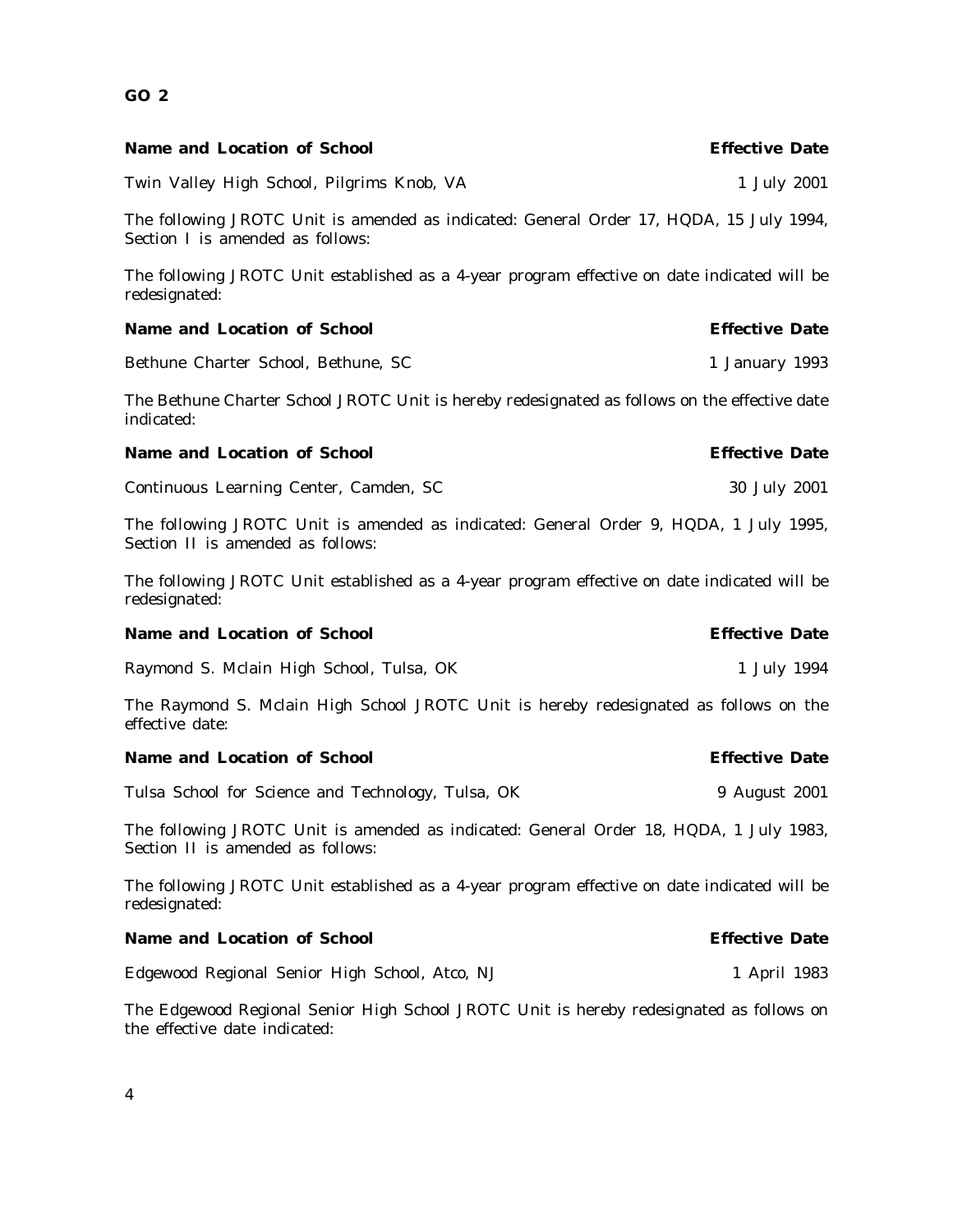| <b>Name and Location of School</b>                                                                                          | <b>Effective Date</b> |
|-----------------------------------------------------------------------------------------------------------------------------|-----------------------|
| Twin Valley High School, Pilgrims Knob, VA                                                                                  | 1 July 2001           |
| The following JROTC Unit is amended as indicated: General Order 17, HQDA, 15 July 1994,<br>Section I is amended as follows: |                       |
| The following JROTC Unit established as a 4-year program effective on date indicated will be<br>redesignated:               |                       |
| <b>Name and Location of School</b>                                                                                          | <b>Effective Date</b> |
| Bethune Charter School, Bethune, SC                                                                                         | 1 January 1993        |
| The Bethune Charter School JROTC Unit is hereby redesignated as follows on the effective date<br>indicated:                 |                       |
| <b>Name and Location of School</b>                                                                                          | <b>Effective Date</b> |
| Continuous Learning Center, Camden, SC                                                                                      | 30 July 2001          |
| The following JROTC Unit is amended as indicated: General Order 9, HQDA, 1 July 1995,<br>Section II is amended as follows:  |                       |
| The following JROTC Unit established as a 4-year program effective on date indicated will be<br>redesignated:               |                       |
| <b>Name and Location of School</b>                                                                                          | <b>Effective Date</b> |
| Raymond S. Mclain High School, Tulsa, OK                                                                                    | 1 July 1994           |
| The Raymond S. Mclain High School JROTC Unit is hereby redesignated as follows on the<br>effective date:                    |                       |
| <b>Name and Location of School</b>                                                                                          | <b>Effective Date</b> |
| Tulsa School for Science and Technology, Tulsa, OK                                                                          | 9 August 2001         |
| The following JROTC Unit is amended as indicated: General Order 18, HQDA, 1 July 1983,<br>Section II is amended as follows: |                       |
| The following JROTC Unit established as a 4-year program effective on date indicated will be<br>redesignated:               |                       |
| <b>Name and Location of School</b>                                                                                          | <b>Effective Date</b> |
| Edgewood Regional Senior High School, Atco, NJ                                                                              | 1 April 1983          |
| The Edgewood Regional Senior High School JROTC Unit is hereby redesignated as follows on<br>the effective date indicated:   |                       |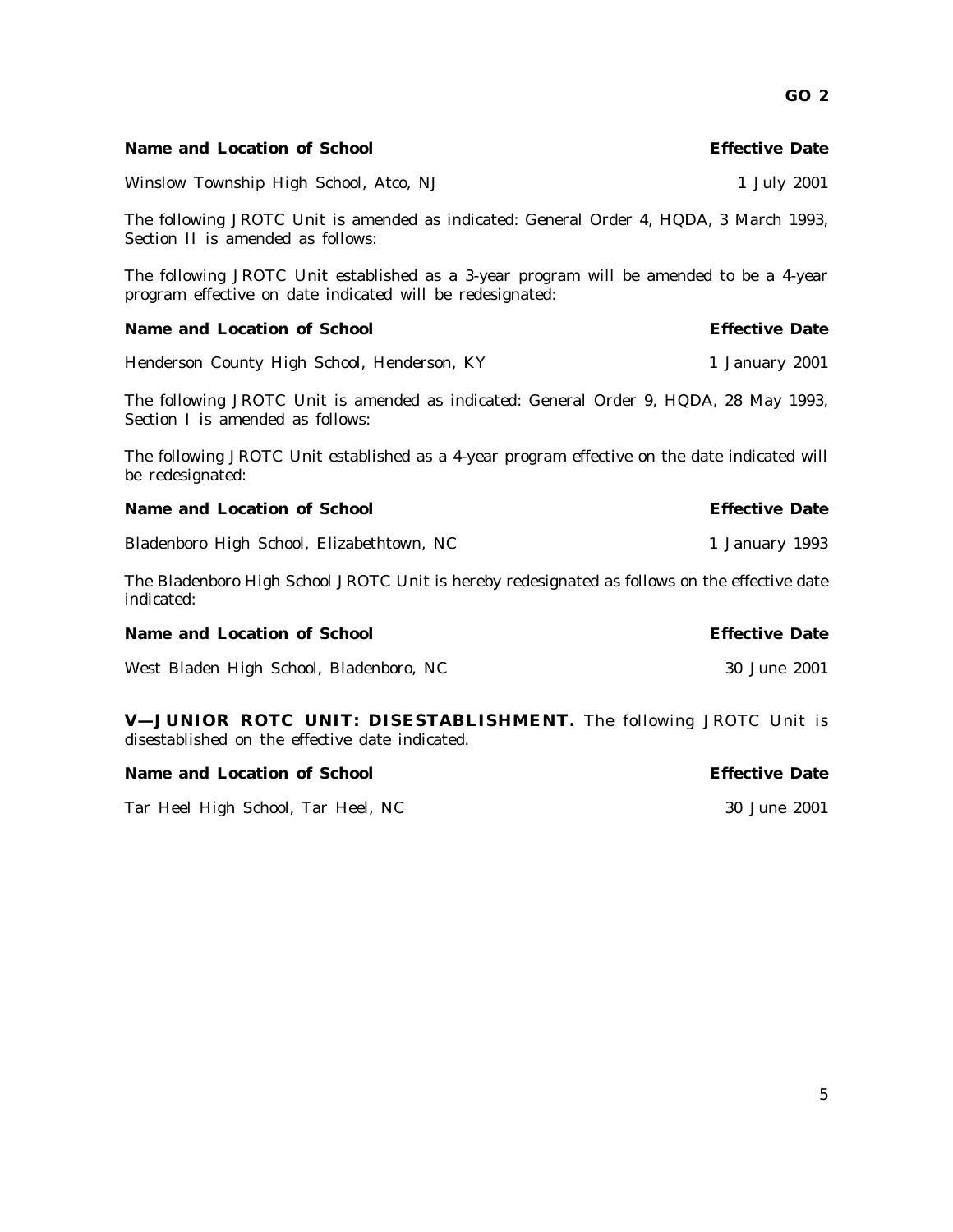| <b>Name and Location of School</b>                                                                                                                   | <b>Effective Date</b> |
|------------------------------------------------------------------------------------------------------------------------------------------------------|-----------------------|
| Winslow Township High School, Atco, NJ                                                                                                               | 1 July 2001           |
| The following JROTC Unit is amended as indicated: General Order 4, HQDA, 3 March 1993,<br>Section II is amended as follows:                          |                       |
| The following JROTC Unit established as a 3-year program will be amended to be a 4-year<br>program effective on date indicated will be redesignated: |                       |
| <b>Name and Location of School</b>                                                                                                                   | <b>Effective Date</b> |
| Henderson County High School, Henderson, KY                                                                                                          | 1 January 2001        |
| The following JROTC Unit is amended as indicated: General Order 9, HQDA, 28 May 1993,<br>Section I is amended as follows:                            |                       |
| The following JROTC Unit established as a 4-year program effective on the date indicated will<br>be redesignated:                                    |                       |
| <b>Name and Location of School</b>                                                                                                                   | <b>Effective Date</b> |
| Bladenboro High School, Elizabethtown, NC                                                                                                            | 1 January 1993        |
| The Bladenboro High School JROTC Unit is hereby redesignated as follows on the effective date<br>indicated:                                          |                       |
| <b>Name and Location of School</b>                                                                                                                   | <b>Effective Date</b> |
| West Bladen High School, Bladenboro, NC                                                                                                              | 30 June 2001          |
| V-JUNIOR ROTC UNIT: DISESTABLISHMENT. The following JROTC Unit is<br>disestablished on the effective date indicated.                                 |                       |
| <b>Name and Location of School</b>                                                                                                                   | <b>Effective Date</b> |

Tar Heel High School, Tar Heel, NC 30 June 2001